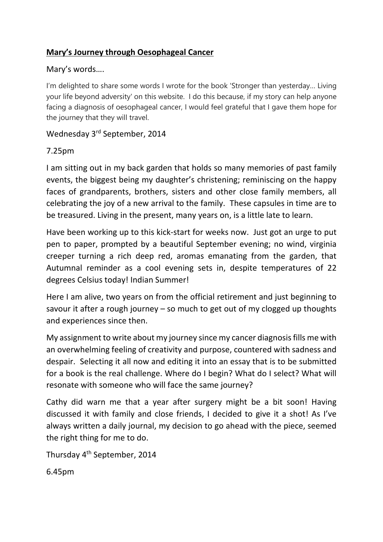## **Mary's Journey through Oesophageal Cancer**

#### Mary's words….

I'm delighted to share some words I wrote for the book 'Stronger than yesterday… Living your life beyond adversity' on this website. I do this because, if my story can help anyone facing a diagnosis of oesophageal cancer, I would feel grateful that I gave them hope for the journey that they will travel.

## Wednesday 3rd September, 2014

### 7.25pm

I am sitting out in my back garden that holds so many memories of past family events, the biggest being my daughter's christening; reminiscing on the happy faces of grandparents, brothers, sisters and other close family members, all celebrating the joy of a new arrival to the family. These capsules in time are to be treasured. Living in the present, many years on, is a little late to learn.

Have been working up to this kick-start for weeks now. Just got an urge to put pen to paper, prompted by a beautiful September evening; no wind, virginia creeper turning a rich deep red, aromas emanating from the garden, that Autumnal reminder as a cool evening sets in, despite temperatures of 22 degrees Celsius today! Indian Summer!

Here I am alive, two years on from the official retirement and just beginning to savour it after a rough journey – so much to get out of my clogged up thoughts and experiences since then.

My assignment to write about my journey since my cancer diagnosis fills me with an overwhelming feeling of creativity and purpose, countered with sadness and despair. Selecting it all now and editing it into an essay that is to be submitted for a book is the real challenge. Where do I begin? What do I select? What will resonate with someone who will face the same journey?

Cathy did warn me that a year after surgery might be a bit soon! Having discussed it with family and close friends, I decided to give it a shot! As I've always written a daily journal, my decision to go ahead with the piece, seemed the right thing for me to do.

Thursday 4th September, 2014

6.45pm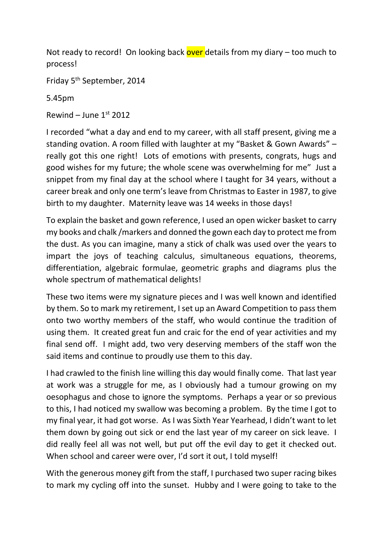Not ready to record! On looking back over details from my diary  $-$  too much to process!

Friday 5th September, 2014

5.45pm

Rewind – June  $1<sup>st</sup>$  2012

I recorded "what a day and end to my career, with all staff present, giving me a standing ovation. A room filled with laughter at my "Basket & Gown Awards" – really got this one right! Lots of emotions with presents, congrats, hugs and good wishes for my future; the whole scene was overwhelming for me" Just a snippet from my final day at the school where I taught for 34 years, without a career break and only one term's leave from Christmas to Easter in 1987, to give birth to my daughter. Maternity leave was 14 weeks in those days!

To explain the basket and gown reference, I used an open wicker basket to carry my books and chalk /markers and donned the gown each day to protect me from the dust. As you can imagine, many a stick of chalk was used over the years to impart the joys of teaching calculus, simultaneous equations, theorems, differentiation, algebraic formulae, geometric graphs and diagrams plus the whole spectrum of mathematical delights!

These two items were my signature pieces and I was well known and identified by them. So to mark my retirement, I set up an Award Competition to pass them onto two worthy members of the staff, who would continue the tradition of using them. It created great fun and craic for the end of year activities and my final send off. I might add, two very deserving members of the staff won the said items and continue to proudly use them to this day.

I had crawled to the finish line willing this day would finally come. That last year at work was a struggle for me, as I obviously had a tumour growing on my oesophagus and chose to ignore the symptoms. Perhaps a year or so previous to this, I had noticed my swallow was becoming a problem. By the time I got to my final year, it had got worse. As I was Sixth Year Yearhead, I didn't want to let them down by going out sick or end the last year of my career on sick leave. I did really feel all was not well, but put off the evil day to get it checked out. When school and career were over, I'd sort it out, I told myself!

With the generous money gift from the staff, I purchased two super racing bikes to mark my cycling off into the sunset. Hubby and I were going to take to the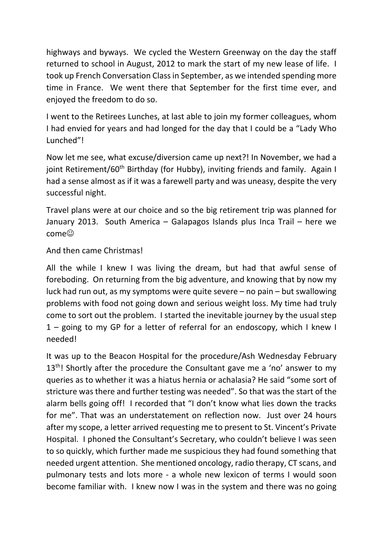highways and byways. We cycled the Western Greenway on the day the staff returned to school in August, 2012 to mark the start of my new lease of life. I took up French Conversation Class in September, as we intended spending more time in France. We went there that September for the first time ever, and enjoyed the freedom to do so.

I went to the Retirees Lunches, at last able to join my former colleagues, whom I had envied for years and had longed for the day that I could be a "Lady Who Lunched"!

Now let me see, what excuse/diversion came up next?! In November, we had a joint Retirement/60<sup>th</sup> Birthday (for Hubby), inviting friends and family. Again I had a sense almost as if it was a farewell party and was uneasy, despite the very successful night.

Travel plans were at our choice and so the big retirement trip was planned for January 2013. South America – Galapagos Islands plus Inca Trail – here we  $\mathsf{come}^\odot$ 

### And then came Christmas!

All the while I knew I was living the dream, but had that awful sense of foreboding. On returning from the big adventure, and knowing that by now my luck had run out, as my symptoms were quite severe – no pain – but swallowing problems with food not going down and serious weight loss. My time had truly come to sort out the problem. I started the inevitable journey by the usual step 1 – going to my GP for a letter of referral for an endoscopy, which I knew I needed!

It was up to the Beacon Hospital for the procedure/Ash Wednesday February  $13<sup>th</sup>$ ! Shortly after the procedure the Consultant gave me a 'no' answer to my queries as to whether it was a hiatus hernia or achalasia? He said "some sort of stricture was there and further testing was needed". So that was the start of the alarm bells going off! I recorded that "I don't know what lies down the tracks for me". That was an understatement on reflection now. Just over 24 hours after my scope, a letter arrived requesting me to present to St. Vincent's Private Hospital. I phoned the Consultant's Secretary, who couldn't believe I was seen to so quickly, which further made me suspicious they had found something that needed urgent attention. She mentioned oncology, radio therapy, CT scans, and pulmonary tests and lots more - a whole new lexicon of terms I would soon become familiar with. I knew now I was in the system and there was no going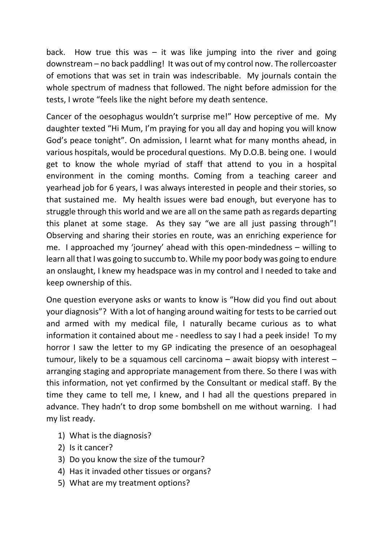back. How true this was  $-$  it was like jumping into the river and going downstream – no back paddling! It was out of my control now. The rollercoaster of emotions that was set in train was indescribable. My journals contain the whole spectrum of madness that followed. The night before admission for the tests, I wrote "feels like the night before my death sentence.

Cancer of the oesophagus wouldn't surprise me!" How perceptive of me. My daughter texted "Hi Mum, I'm praying for you all day and hoping you will know God's peace tonight". On admission, I learnt what for many months ahead, in various hospitals, would be procedural questions. My D.O.B. being one. I would get to know the whole myriad of staff that attend to you in a hospital environment in the coming months. Coming from a teaching career and yearhead job for 6 years, I was always interested in people and their stories, so that sustained me. My health issues were bad enough, but everyone has to struggle through this world and we are all on the same path as regards departing this planet at some stage. As they say "we are all just passing through"! Observing and sharing their stories en route, was an enriching experience for me. I approached my 'journey' ahead with this open-mindedness – willing to learn all that I was going to succumb to. While my poor body was going to endure an onslaught, I knew my headspace was in my control and I needed to take and keep ownership of this.

One question everyone asks or wants to know is "How did you find out about your diagnosis"? With a lot of hanging around waiting for tests to be carried out and armed with my medical file, I naturally became curious as to what information it contained about me - needless to say I had a peek inside! To my horror I saw the letter to my GP indicating the presence of an oesophageal tumour, likely to be a squamous cell carcinoma – await biopsy with interest – arranging staging and appropriate management from there. So there I was with this information, not yet confirmed by the Consultant or medical staff. By the time they came to tell me, I knew, and I had all the questions prepared in advance. They hadn't to drop some bombshell on me without warning. I had my list ready.

- 1) What is the diagnosis?
- 2) Is it cancer?
- 3) Do you know the size of the tumour?
- 4) Has it invaded other tissues or organs?
- 5) What are my treatment options?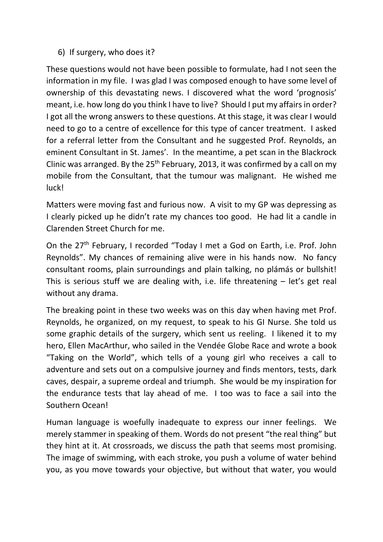### 6) If surgery, who does it?

These questions would not have been possible to formulate, had I not seen the information in my file. I was glad I was composed enough to have some level of ownership of this devastating news. I discovered what the word 'prognosis' meant, i.e. how long do you think I have to live? Should I put my affairs in order? I got all the wrong answers to these questions. At this stage, it was clear I would need to go to a centre of excellence for this type of cancer treatment. I asked for a referral letter from the Consultant and he suggested Prof. Reynolds, an eminent Consultant in St. James'. In the meantime, a pet scan in the Blackrock Clinic was arranged. By the  $25<sup>th</sup>$  February, 2013, it was confirmed by a call on my mobile from the Consultant, that the tumour was malignant. He wished me luck!

Matters were moving fast and furious now. A visit to my GP was depressing as I clearly picked up he didn't rate my chances too good. He had lit a candle in Clarenden Street Church for me.

On the 27<sup>th</sup> February, I recorded "Today I met a God on Earth, i.e. Prof. John Reynolds". My chances of remaining alive were in his hands now. No fancy consultant rooms, plain surroundings and plain talking, no plámás or bullshit! This is serious stuff we are dealing with, i.e. life threatening – let's get real without any drama.

The breaking point in these two weeks was on this day when having met Prof. Reynolds, he organized, on my request, to speak to his GI Nurse. She told us some graphic details of the surgery, which sent us reeling. I likened it to my hero, Ellen MacArthur, who sailed in the Vendée Globe Race and wrote a book "Taking on the World", which tells of a young girl who receives a call to adventure and sets out on a compulsive journey and finds mentors, tests, dark caves, despair, a supreme ordeal and triumph. She would be my inspiration for the endurance tests that lay ahead of me. I too was to face a sail into the Southern Ocean!

Human language is woefully inadequate to express our inner feelings. We merely stammer in speaking of them. Words do not present "the real thing" but they hint at it. At crossroads, we discuss the path that seems most promising. The image of swimming, with each stroke, you push a volume of water behind you, as you move towards your objective, but without that water, you would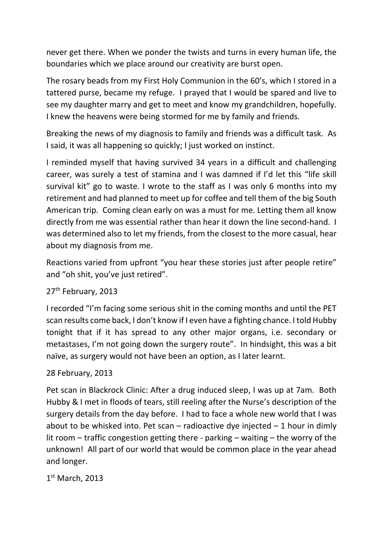never get there. When we ponder the twists and turns in every human life, the boundaries which we place around our creativity are burst open.

The rosary beads from my First Holy Communion in the 60's, which I stored in a tattered purse, became my refuge. I prayed that I would be spared and live to see my daughter marry and get to meet and know my grandchildren, hopefully. I knew the heavens were being stormed for me by family and friends.

Breaking the news of my diagnosis to family and friends was a difficult task. As I said, it was all happening so quickly; I just worked on instinct.

I reminded myself that having survived 34 years in a difficult and challenging career, was surely a test of stamina and I was damned if I'd let this "life skill survival kit" go to waste. I wrote to the staff as I was only 6 months into my retirement and had planned to meet up for coffee and tell them of the big South American trip. Coming clean early on was a must for me. Letting them all know directly from me was essential rather than hear it down the line second-hand. I was determined also to let my friends, from the closest to the more casual, hear about my diagnosis from me.

Reactions varied from upfront "you hear these stories just after people retire" and "oh shit, you've just retired".

### 27<sup>th</sup> February, 2013

I recorded "I'm facing some serious shit in the coming months and until the PET scan results come back, I don't know if I even have a fighting chance. I told Hubby tonight that if it has spread to any other major organs, i.e. secondary or metastases, I'm not going down the surgery route". In hindsight, this was a bit naïve, as surgery would not have been an option, as I later learnt.

### 28 February, 2013

Pet scan in Blackrock Clinic: After a drug induced sleep, I was up at 7am. Both Hubby & I met in floods of tears, still reeling after the Nurse's description of the surgery details from the day before. I had to face a whole new world that I was about to be whisked into. Pet scan – radioactive dye injected  $-1$  hour in dimly lit room – traffic congestion getting there - parking – waiting – the worry of the unknown! All part of our world that would be common place in the year ahead and longer.

1st March, 2013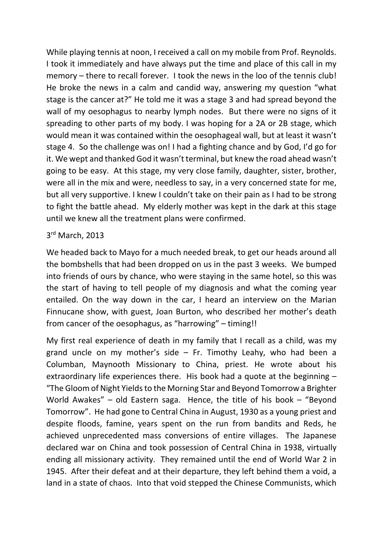While playing tennis at noon, I received a call on my mobile from Prof. Reynolds. I took it immediately and have always put the time and place of this call in my memory – there to recall forever. I took the news in the loo of the tennis club! He broke the news in a calm and candid way, answering my question "what stage is the cancer at?" He told me it was a stage 3 and had spread beyond the wall of my oesophagus to nearby lymph nodes. But there were no signs of it spreading to other parts of my body. I was hoping for a 2A or 2B stage, which would mean it was contained within the oesophageal wall, but at least it wasn't stage 4. So the challenge was on! I had a fighting chance and by God, I'd go for it. We wept and thanked God it wasn't terminal, but knew the road ahead wasn't going to be easy. At this stage, my very close family, daughter, sister, brother, were all in the mix and were, needless to say, in a very concerned state for me, but all very supportive. I knew I couldn't take on their pain as I had to be strong to fight the battle ahead. My elderly mother was kept in the dark at this stage until we knew all the treatment plans were confirmed.

#### 3rd March, 2013

We headed back to Mayo for a much needed break, to get our heads around all the bombshells that had been dropped on us in the past 3 weeks. We bumped into friends of ours by chance, who were staying in the same hotel, so this was the start of having to tell people of my diagnosis and what the coming year entailed. On the way down in the car, I heard an interview on the Marian Finnucane show, with guest, Joan Burton, who described her mother's death from cancer of the oesophagus, as "harrowing" – timing!!

My first real experience of death in my family that I recall as a child, was my grand uncle on my mother's side  $-$  Fr. Timothy Leahy, who had been a Columban, Maynooth Missionary to China, priest. He wrote about his extraordinary life experiences there. His book had a quote at the beginning – "The Gloom of Night Yields to the Morning Star and Beyond Tomorrow a Brighter World Awakes" – old Eastern saga. Hence, the title of his book – "Beyond Tomorrow". He had gone to Central China in August, 1930 as a young priest and despite floods, famine, years spent on the run from bandits and Reds, he achieved unprecedented mass conversions of entire villages. The Japanese declared war on China and took possession of Central China in 1938, virtually ending all missionary activity. They remained until the end of World War 2 in 1945. After their defeat and at their departure, they left behind them a void, a land in a state of chaos. Into that void stepped the Chinese Communists, which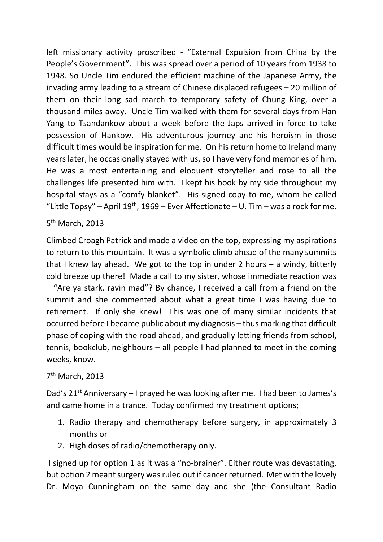left missionary activity proscribed - "External Expulsion from China by the People's Government". This was spread over a period of 10 years from 1938 to 1948. So Uncle Tim endured the efficient machine of the Japanese Army, the invading army leading to a stream of Chinese displaced refugees – 20 million of them on their long sad march to temporary safety of Chung King, over a thousand miles away. Uncle Tim walked with them for several days from Han Yang to Tsandankow about a week before the Japs arrived in force to take possession of Hankow. His adventurous journey and his heroism in those difficult times would be inspiration for me. On his return home to Ireland many years later, he occasionally stayed with us, so I have very fond memories of him. He was a most entertaining and eloquent storyteller and rose to all the challenges life presented him with. I kept his book by my side throughout my hospital stays as a "comfy blanket". His signed copy to me, whom he called "Little Topsy" – April 19<sup>th</sup>, 1969 – Ever Affectionate – U. Tim – was a rock for me.

5th March, 2013

Climbed Croagh Patrick and made a video on the top, expressing my aspirations to return to this mountain. It was a symbolic climb ahead of the many summits that I knew lay ahead. We got to the top in under 2 hours – a windy, bitterly cold breeze up there! Made a call to my sister, whose immediate reaction was – "Are ya stark, ravin mad"? By chance, I received a call from a friend on the summit and she commented about what a great time I was having due to retirement. If only she knew! This was one of many similar incidents that occurred before I became public about my diagnosis – thus marking that difficult phase of coping with the road ahead, and gradually letting friends from school, tennis, bookclub, neighbours – all people I had planned to meet in the coming weeks, know.

#### 7th March, 2013

Dad's  $21^{st}$  Anniversary – I prayed he was looking after me. I had been to James's and came home in a trance. Today confirmed my treatment options;

- 1. Radio therapy and chemotherapy before surgery, in approximately 3 months or
- 2. High doses of radio/chemotherapy only.

I signed up for option 1 as it was a "no-brainer". Either route was devastating, but option 2 meant surgery was ruled out if cancer returned. Met with the lovely Dr. Moya Cunningham on the same day and she (the Consultant Radio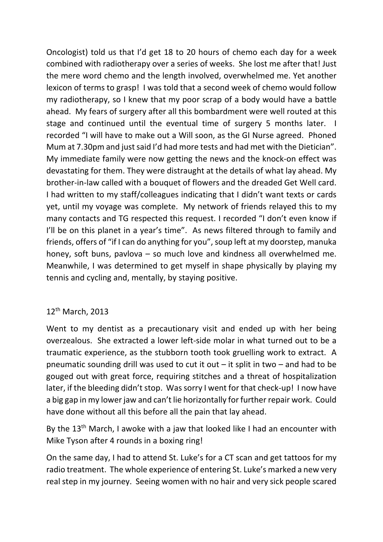Oncologist) told us that I'd get 18 to 20 hours of chemo each day for a week combined with radiotherapy over a series of weeks. She lost me after that! Just the mere word chemo and the length involved, overwhelmed me. Yet another lexicon of terms to grasp! I was told that a second week of chemo would follow my radiotherapy, so I knew that my poor scrap of a body would have a battle ahead. My fears of surgery after all this bombardment were well routed at this stage and continued until the eventual time of surgery 5 months later. I recorded "I will have to make out a Will soon, as the GI Nurse agreed. Phoned Mum at 7.30pm and just said I'd had more tests and had met with the Dietician". My immediate family were now getting the news and the knock-on effect was devastating for them. They were distraught at the details of what lay ahead. My brother-in-law called with a bouquet of flowers and the dreaded Get Well card. I had written to my staff/colleagues indicating that I didn't want texts or cards yet, until my voyage was complete. My network of friends relayed this to my many contacts and TG respected this request. I recorded "I don't even know if I'll be on this planet in a year's time". As news filtered through to family and friends, offers of "if I can do anything for you", soup left at my doorstep, manuka honey, soft buns, pavlova – so much love and kindness all overwhelmed me. Meanwhile, I was determined to get myself in shape physically by playing my tennis and cycling and, mentally, by staying positive.

#### 12<sup>th</sup> March, 2013

Went to my dentist as a precautionary visit and ended up with her being overzealous. She extracted a lower left-side molar in what turned out to be a traumatic experience, as the stubborn tooth took gruelling work to extract. A pneumatic sounding drill was used to cut it out  $-$  it split in two  $-$  and had to be gouged out with great force, requiring stitches and a threat of hospitalization later, if the bleeding didn't stop. Was sorry I went for that check-up! I now have a big gap in my lower jaw and can't lie horizontally for further repair work. Could have done without all this before all the pain that lay ahead.

By the 13<sup>th</sup> March, I awoke with a jaw that looked like I had an encounter with Mike Tyson after 4 rounds in a boxing ring!

On the same day, I had to attend St. Luke's for a CT scan and get tattoos for my radio treatment. The whole experience of entering St. Luke's marked a new very real step in my journey. Seeing women with no hair and very sick people scared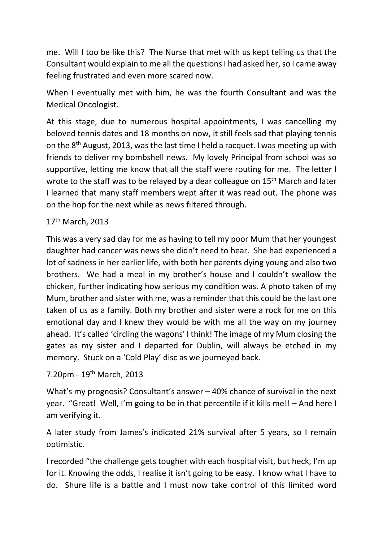me. Will I too be like this? The Nurse that met with us kept telling us that the Consultant would explain to me all the questions I had asked her, so I came away feeling frustrated and even more scared now.

When I eventually met with him, he was the fourth Consultant and was the Medical Oncologist.

At this stage, due to numerous hospital appointments, I was cancelling my beloved tennis dates and 18 months on now, it still feels sad that playing tennis on the  $8<sup>th</sup>$  August, 2013, was the last time I held a racquet. I was meeting up with friends to deliver my bombshell news. My lovely Principal from school was so supportive, letting me know that all the staff were routing for me. The letter I wrote to the staff was to be relayed by a dear colleague on 15<sup>th</sup> March and later I learned that many staff members wept after it was read out. The phone was on the hop for the next while as news filtered through.

### 17<sup>th</sup> March, 2013

This was a very sad day for me as having to tell my poor Mum that her youngest daughter had cancer was news she didn't need to hear. She had experienced a lot of sadness in her earlier life, with both her parents dying young and also two brothers. We had a meal in my brother's house and I couldn't swallow the chicken, further indicating how serious my condition was. A photo taken of my Mum, brother and sister with me, was a reminder that this could be the last one taken of us as a family. Both my brother and sister were a rock for me on this emotional day and I knew they would be with me all the way on my journey ahead. It's called 'circling the wagons' I think! The image of my Mum closing the gates as my sister and I departed for Dublin, will always be etched in my memory. Stuck on a 'Cold Play' disc as we journeyed back.

7.20pm - 19th March, 2013

What's my prognosis? Consultant's answer – 40% chance of survival in the next year. "Great! Well, I'm going to be in that percentile if it kills me!! – And here I am verifying it.

A later study from James's indicated 21% survival after 5 years, so I remain optimistic.

I recorded "the challenge gets tougher with each hospital visit, but heck, I'm up for it. Knowing the odds, I realise it isn't going to be easy. I know what I have to do. Shure life is a battle and I must now take control of this limited word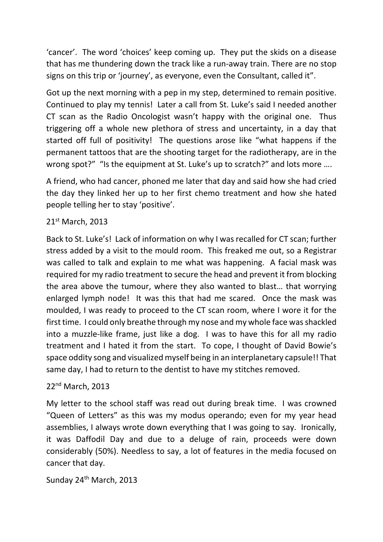'cancer'. The word 'choices' keep coming up. They put the skids on a disease that has me thundering down the track like a run-away train. There are no stop signs on this trip or 'journey', as everyone, even the Consultant, called it".

Got up the next morning with a pep in my step, determined to remain positive. Continued to play my tennis! Later a call from St. Luke's said I needed another CT scan as the Radio Oncologist wasn't happy with the original one. Thus triggering off a whole new plethora of stress and uncertainty, in a day that started off full of positivity! The questions arose like "what happens if the permanent tattoos that are the shooting target for the radiotherapy, are in the wrong spot?" "Is the equipment at St. Luke's up to scratch?" and lots more ....

A friend, who had cancer, phoned me later that day and said how she had cried the day they linked her up to her first chemo treatment and how she hated people telling her to stay 'positive'.

### 21st March, 2013

Back to St. Luke's! Lack of information on why I was recalled for CT scan; further stress added by a visit to the mould room. This freaked me out, so a Registrar was called to talk and explain to me what was happening. A facial mask was required for my radio treatment to secure the head and prevent it from blocking the area above the tumour, where they also wanted to blast… that worrying enlarged lymph node! It was this that had me scared. Once the mask was moulded, I was ready to proceed to the CT scan room, where I wore it for the first time. I could only breathe through my nose and my whole face was shackled into a muzzle-like frame, just like a dog. I was to have this for all my radio treatment and I hated it from the start. To cope, I thought of David Bowie's space oddity song and visualized myself being in an interplanetary capsule!! That same day, I had to return to the dentist to have my stitches removed.

#### 22nd March, 2013

My letter to the school staff was read out during break time. I was crowned "Queen of Letters" as this was my modus operando; even for my year head assemblies, I always wrote down everything that I was going to say. Ironically, it was Daffodil Day and due to a deluge of rain, proceeds were down considerably (50%). Needless to say, a lot of features in the media focused on cancer that day.

Sunday 24<sup>th</sup> March, 2013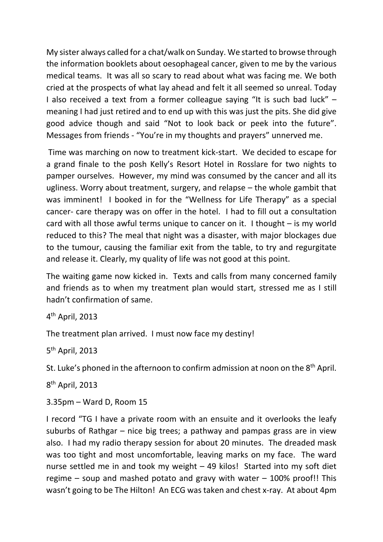My sister always called for a chat/walk on Sunday. We started to browse through the information booklets about oesophageal cancer, given to me by the various medical teams. It was all so scary to read about what was facing me. We both cried at the prospects of what lay ahead and felt it all seemed so unreal. Today I also received a text from a former colleague saying "It is such bad luck" – meaning I had just retired and to end up with this was just the pits. She did give good advice though and said "Not to look back or peek into the future". Messages from friends - "You're in my thoughts and prayers" unnerved me.

Time was marching on now to treatment kick-start. We decided to escape for a grand finale to the posh Kelly's Resort Hotel in Rosslare for two nights to pamper ourselves. However, my mind was consumed by the cancer and all its ugliness. Worry about treatment, surgery, and relapse – the whole gambit that was imminent! I booked in for the "Wellness for Life Therapy" as a special cancer- care therapy was on offer in the hotel. I had to fill out a consultation card with all those awful terms unique to cancer on it. I thought – is my world reduced to this? The meal that night was a disaster, with major blockages due to the tumour, causing the familiar exit from the table, to try and regurgitate and release it. Clearly, my quality of life was not good at this point.

The waiting game now kicked in. Texts and calls from many concerned family and friends as to when my treatment plan would start, stressed me as I still hadn't confirmation of same.

4th April, 2013

The treatment plan arrived. I must now face my destiny!

5th April, 2013

St. Luke's phoned in the afternoon to confirm admission at noon on the 8<sup>th</sup> April.

8th April, 2013

3.35pm – Ward D, Room 15

I record "TG I have a private room with an ensuite and it overlooks the leafy suburbs of Rathgar – nice big trees; a pathway and pampas grass are in view also. I had my radio therapy session for about 20 minutes. The dreaded mask was too tight and most uncomfortable, leaving marks on my face. The ward nurse settled me in and took my weight – 49 kilos! Started into my soft diet regime – soup and mashed potato and gravy with water  $-100\%$  proof!! This wasn't going to be The Hilton! An ECG was taken and chest x-ray. At about 4pm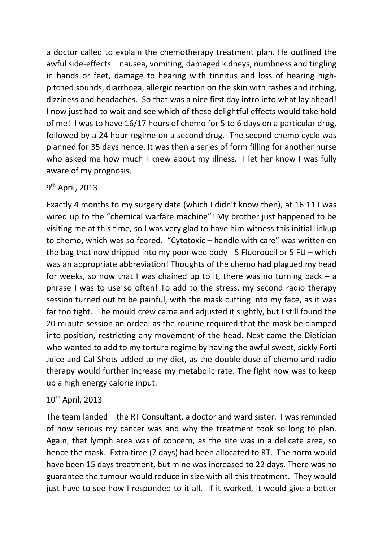a doctor called to explain the chemotherapy treatment plan. He outlined the awful side-effects – nausea, vomiting, damaged kidneys, numbness and tingling in hands or feet, damage to hearing with tinnitus and loss of hearing highpitched sounds, diarrhoea, allergic reaction on the skin with rashes and itching, dizziness and headaches. So that was a nice first day intro into what lay ahead! I now just had to wait and see which of these delightful effects would take hold of me! I was to have 16/17 hours of chemo for 5 to 6 days on a particular drug, followed by a 24 hour regime on a second drug. The second chemo cycle was planned for 35 days hence. It was then a series of form filling for another nurse who asked me how much I knew about my illness. I let her know I was fully aware of my prognosis.

#### 9th April, 2013

Exactly 4 months to my surgery date (which I didn't know then), at 16:11 I was wired up to the "chemical warfare machine"! My brother just happened to be visiting me at this time, so I was very glad to have him witness this initial linkup to chemo, which was so feared. "Cytotoxic – handle with care" was written on the bag that now dripped into my poor wee body - 5 Fluoroucil or 5 FU – which was an appropriate abbreviation! Thoughts of the chemo had plagued my head for weeks, so now that I was chained up to it, there was no turning back  $-$  a phrase I was to use so often! To add to the stress, my second radio therapy session turned out to be painful, with the mask cutting into my face, as it was far too tight. The mould crew came and adjusted it slightly, but I still found the 20 minute session an ordeal as the routine required that the mask be clamped into position, restricting any movement of the head. Next came the Dietician who wanted to add to my torture regime by having the awful sweet, sickly Forti Juice and Cal Shots added to my diet, as the double dose of chemo and radio therapy would further increase my metabolic rate. The fight now was to keep up a high energy calorie input.

# 10th April, 2013

The team landed – the RT Consultant, a doctor and ward sister. I was reminded of how serious my cancer was and why the treatment took so long to plan. Again, that lymph area was of concern, as the site was in a delicate area, so hence the mask. Extra time (7 days) had been allocated to RT. The norm would have been 15 days treatment, but mine was increased to 22 days. There was no guarantee the tumour would reduce in size with all this treatment. They would just have to see how I responded to it all. If it worked, it would give a better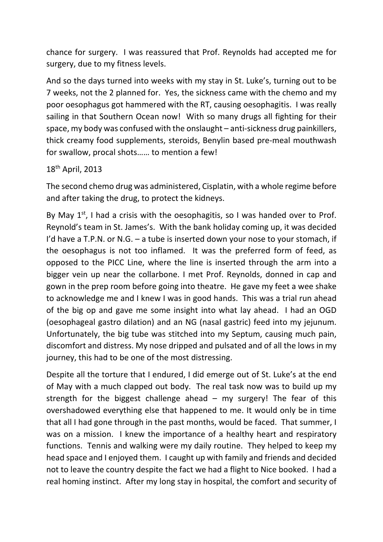chance for surgery. I was reassured that Prof. Reynolds had accepted me for surgery, due to my fitness levels.

And so the days turned into weeks with my stay in St. Luke's, turning out to be 7 weeks, not the 2 planned for. Yes, the sickness came with the chemo and my poor oesophagus got hammered with the RT, causing oesophagitis. I was really sailing in that Southern Ocean now! With so many drugs all fighting for their space, my body was confused with the onslaught – anti-sickness drug painkillers, thick creamy food supplements, steroids, Benylin based pre-meal mouthwash for swallow, procal shots…… to mention a few!

18th April, 2013

The second chemo drug was administered, Cisplatin, with a whole regime before and after taking the drug, to protect the kidneys.

By May  $1^{st}$ , I had a crisis with the oesophagitis, so I was handed over to Prof. Reynold's team in St. James's. With the bank holiday coming up, it was decided I'd have a T.P.N. or N.G.  $-$  a tube is inserted down your nose to your stomach, if the oesophagus is not too inflamed. It was the preferred form of feed, as opposed to the PICC Line, where the line is inserted through the arm into a bigger vein up near the collarbone. I met Prof. Reynolds, donned in cap and gown in the prep room before going into theatre. He gave my feet a wee shake to acknowledge me and I knew I was in good hands. This was a trial run ahead of the big op and gave me some insight into what lay ahead. I had an OGD (oesophageal gastro dilation) and an NG (nasal gastric) feed into my jejunum. Unfortunately, the big tube was stitched into my Septum, causing much pain, discomfort and distress. My nose dripped and pulsated and of all the lows in my journey, this had to be one of the most distressing.

Despite all the torture that I endured, I did emerge out of St. Luke's at the end of May with a much clapped out body. The real task now was to build up my strength for the biggest challenge ahead  $-$  my surgery! The fear of this overshadowed everything else that happened to me. It would only be in time that all I had gone through in the past months, would be faced. That summer, I was on a mission. I knew the importance of a healthy heart and respiratory functions. Tennis and walking were my daily routine. They helped to keep my head space and I enjoyed them. I caught up with family and friends and decided not to leave the country despite the fact we had a flight to Nice booked. I had a real homing instinct. After my long stay in hospital, the comfort and security of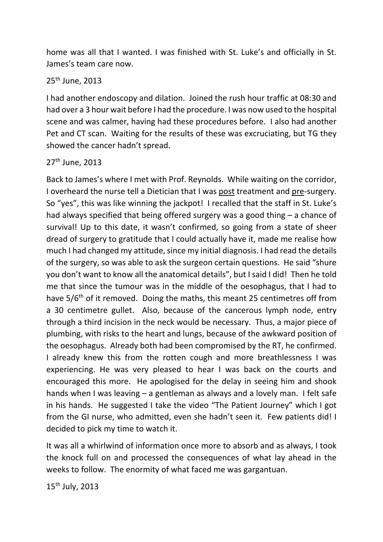home was all that I wanted. I was finished with St. Luke's and officially in St. James's team care now.

#### 25th June, 2013

I had another endoscopy and dilation. Joined the rush hour traffic at 08:30 and had over a 3 hour wait before I had the procedure. I was now used to the hospital scene and was calmer, having had these procedures before. I also had another Pet and CT scan. Waiting for the results of these was excruciating, but TG they showed the cancer hadn't spread.

#### 27th June, 2013

Back to James's where I met with Prof. Reynolds. While waiting on the corridor, I overheard the nurse tell a Dietician that I was post treatment and pre-surgery. So "yes", this was like winning the jackpot! I recalled that the staff in St. Luke's had always specified that being offered surgery was a good thing – a chance of survival! Up to this date, it wasn't confirmed, so going from a state of sheer dread of surgery to gratitude that I could actually have it, made me realise how much I had changed my attitude, since my initial diagnosis. I had read the details of the surgery, so was able to ask the surgeon certain questions. He said "shure you don't want to know all the anatomical details", but I said I did! Then he told me that since the tumour was in the middle of the oesophagus, that I had to have 5/6<sup>th</sup> of it removed. Doing the maths, this meant 25 centimetres off from a 30 centimetre gullet. Also, because of the cancerous lymph node, entry through a third incision in the neck would be necessary. Thus, a major piece of plumbing, with risks to the heart and lungs, because of the awkward position of the oesophagus. Already both had been compromised by the RT, he confirmed. I already knew this from the rotten cough and more breathlessness I was experiencing. He was very pleased to hear I was back on the courts and encouraged this more. He apologised for the delay in seeing him and shook hands when I was leaving – a gentleman as always and a lovely man. I felt safe in his hands. He suggested I take the video "The Patient Journey" which I got from the GI nurse, who admitted, even she hadn't seen it. Few patients did! I decided to pick my time to watch it.

It was all a whirlwind of information once more to absorb and as always, I took the knock full on and processed the consequences of what lay ahead in the weeks to follow. The enormity of what faced me was gargantuan.

15th July, 2013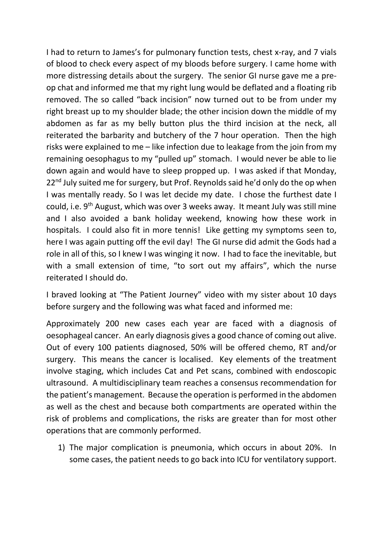I had to return to James's for pulmonary function tests, chest x-ray, and 7 vials of blood to check every aspect of my bloods before surgery. I came home with more distressing details about the surgery. The senior GI nurse gave me a preop chat and informed me that my right lung would be deflated and a floating rib removed. The so called "back incision" now turned out to be from under my right breast up to my shoulder blade; the other incision down the middle of my abdomen as far as my belly button plus the third incision at the neck, all reiterated the barbarity and butchery of the 7 hour operation. Then the high risks were explained to me – like infection due to leakage from the join from my remaining oesophagus to my "pulled up" stomach. I would never be able to lie down again and would have to sleep propped up. I was asked if that Monday,  $22<sup>nd</sup>$  July suited me for surgery, but Prof. Reynolds said he'd only do the op when I was mentally ready. So I was let decide my date. I chose the furthest date I could, i.e. 9<sup>th</sup> August, which was over 3 weeks away. It meant July was still mine and I also avoided a bank holiday weekend, knowing how these work in hospitals. I could also fit in more tennis! Like getting my symptoms seen to, here I was again putting off the evil day! The GI nurse did admit the Gods had a role in all of this, so I knew I was winging it now. I had to face the inevitable, but with a small extension of time, "to sort out my affairs", which the nurse reiterated I should do.

I braved looking at "The Patient Journey" video with my sister about 10 days before surgery and the following was what faced and informed me:

Approximately 200 new cases each year are faced with a diagnosis of oesophageal cancer. An early diagnosis gives a good chance of coming out alive. Out of every 100 patients diagnosed, 50% will be offered chemo, RT and/or surgery. This means the cancer is localised. Key elements of the treatment involve staging, which includes Cat and Pet scans, combined with endoscopic ultrasound. A multidisciplinary team reaches a consensus recommendation for the patient's management. Because the operation is performed in the abdomen as well as the chest and because both compartments are operated within the risk of problems and complications, the risks are greater than for most other operations that are commonly performed.

1) The major complication is pneumonia, which occurs in about 20%. In some cases, the patient needs to go back into ICU for ventilatory support.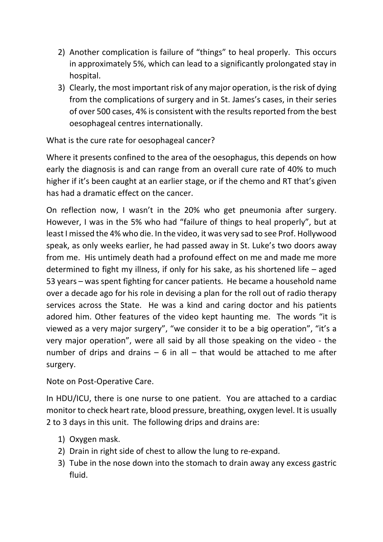- 2) Another complication is failure of "things" to heal properly. This occurs in approximately 5%, which can lead to a significantly prolongated stay in hospital.
- 3) Clearly, the most important risk of any major operation, is the risk of dying from the complications of surgery and in St. James's cases, in their series of over 500 cases, 4% is consistent with the results reported from the best oesophageal centres internationally.

What is the cure rate for oesophageal cancer?

Where it presents confined to the area of the oesophagus, this depends on how early the diagnosis is and can range from an overall cure rate of 40% to much higher if it's been caught at an earlier stage, or if the chemo and RT that's given has had a dramatic effect on the cancer.

On reflection now, I wasn't in the 20% who get pneumonia after surgery. However, I was in the 5% who had "failure of things to heal properly", but at least I missed the 4% who die. In the video, it was very sad to see Prof. Hollywood speak, as only weeks earlier, he had passed away in St. Luke's two doors away from me. His untimely death had a profound effect on me and made me more determined to fight my illness, if only for his sake, as his shortened life – aged 53 years – was spent fighting for cancer patients. He became a household name over a decade ago for his role in devising a plan for the roll out of radio therapy services across the State. He was a kind and caring doctor and his patients adored him. Other features of the video kept haunting me. The words "it is viewed as a very major surgery", "we consider it to be a big operation", "it's a very major operation", were all said by all those speaking on the video - the number of drips and drains  $-6$  in all  $-$  that would be attached to me after surgery.

Note on Post-Operative Care.

In HDU/ICU, there is one nurse to one patient. You are attached to a cardiac monitor to check heart rate, blood pressure, breathing, oxygen level. It is usually 2 to 3 days in this unit. The following drips and drains are:

- 1) Oxygen mask.
- 2) Drain in right side of chest to allow the lung to re-expand.
- 3) Tube in the nose down into the stomach to drain away any excess gastric fluid.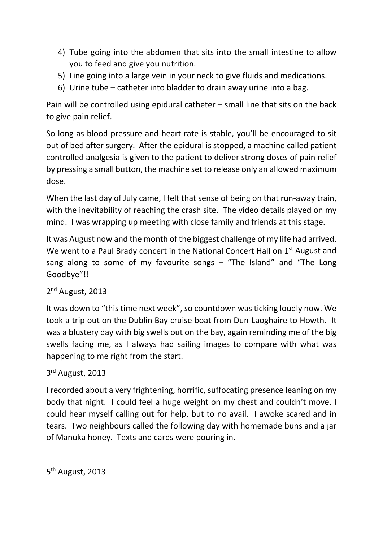- 4) Tube going into the abdomen that sits into the small intestine to allow you to feed and give you nutrition.
- 5) Line going into a large vein in your neck to give fluids and medications.
- 6) Urine tube catheter into bladder to drain away urine into a bag.

Pain will be controlled using epidural catheter – small line that sits on the back to give pain relief.

So long as blood pressure and heart rate is stable, you'll be encouraged to sit out of bed after surgery. After the epidural is stopped, a machine called patient controlled analgesia is given to the patient to deliver strong doses of pain relief by pressing a small button, the machine set to release only an allowed maximum dose.

When the last day of July came, I felt that sense of being on that run-away train, with the inevitability of reaching the crash site. The video details played on my mind. I was wrapping up meeting with close family and friends at this stage.

It was August now and the month of the biggest challenge of my life had arrived. We went to a Paul Brady concert in the National Concert Hall on 1<sup>st</sup> August and sang along to some of my favourite songs - "The Island" and "The Long Goodbye"!!

# 2<sup>nd</sup> August, 2013

It was down to "this time next week", so countdown was ticking loudly now. We took a trip out on the Dublin Bay cruise boat from Dun-Laoghaire to Howth. It was a blustery day with big swells out on the bay, again reminding me of the big swells facing me, as I always had sailing images to compare with what was happening to me right from the start.

### 3<sup>rd</sup> August, 2013

I recorded about a very frightening, horrific, suffocating presence leaning on my body that night. I could feel a huge weight on my chest and couldn't move. I could hear myself calling out for help, but to no avail. I awoke scared and in tears. Two neighbours called the following day with homemade buns and a jar of Manuka honey. Texts and cards were pouring in.

5th August, 2013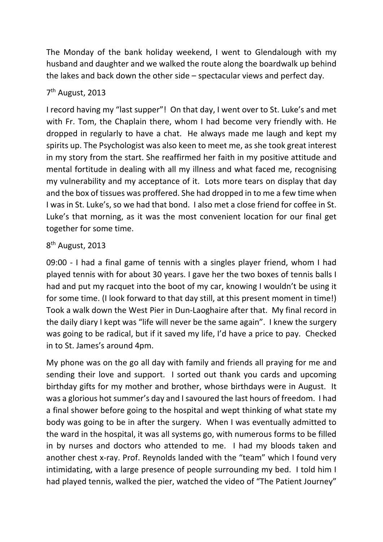The Monday of the bank holiday weekend, I went to Glendalough with my husband and daughter and we walked the route along the boardwalk up behind the lakes and back down the other side – spectacular views and perfect day.

# 7th August, 2013

I record having my "last supper"! On that day, I went over to St. Luke's and met with Fr. Tom, the Chaplain there, whom I had become very friendly with. He dropped in regularly to have a chat. He always made me laugh and kept my spirits up. The Psychologist was also keen to meet me, as she took great interest in my story from the start. She reaffirmed her faith in my positive attitude and mental fortitude in dealing with all my illness and what faced me, recognising my vulnerability and my acceptance of it. Lots more tears on display that day and the box of tissues was proffered. She had dropped in to me a few time when I was in St. Luke's, so we had that bond. I also met a close friend for coffee in St. Luke's that morning, as it was the most convenient location for our final get together for some time.

# 8th August, 2013

09:00 - I had a final game of tennis with a singles player friend, whom I had played tennis with for about 30 years. I gave her the two boxes of tennis balls I had and put my racquet into the boot of my car, knowing I wouldn't be using it for some time. (I look forward to that day still, at this present moment in time!) Took a walk down the West Pier in Dun-Laoghaire after that. My final record in the daily diary I kept was "life will never be the same again". I knew the surgery was going to be radical, but if it saved my life, I'd have a price to pay. Checked in to St. James's around 4pm.

My phone was on the go all day with family and friends all praying for me and sending their love and support. I sorted out thank you cards and upcoming birthday gifts for my mother and brother, whose birthdays were in August. It was a glorious hot summer's day and I savoured the last hours of freedom. I had a final shower before going to the hospital and wept thinking of what state my body was going to be in after the surgery. When I was eventually admitted to the ward in the hospital, it was all systems go, with numerous forms to be filled in by nurses and doctors who attended to me. I had my bloods taken and another chest x-ray. Prof. Reynolds landed with the "team" which I found very intimidating, with a large presence of people surrounding my bed. I told him I had played tennis, walked the pier, watched the video of "The Patient Journey"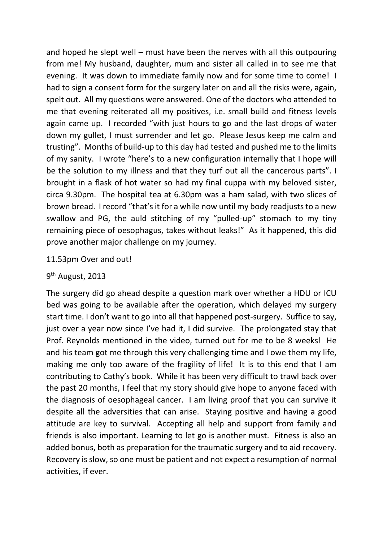and hoped he slept well – must have been the nerves with all this outpouring from me! My husband, daughter, mum and sister all called in to see me that evening. It was down to immediate family now and for some time to come! I had to sign a consent form for the surgery later on and all the risks were, again, spelt out. All my questions were answered. One of the doctors who attended to me that evening reiterated all my positives, i.e. small build and fitness levels again came up. I recorded "with just hours to go and the last drops of water down my gullet, I must surrender and let go. Please Jesus keep me calm and trusting". Months of build-up to this day had tested and pushed me to the limits of my sanity. I wrote "here's to a new configuration internally that I hope will be the solution to my illness and that they turf out all the cancerous parts". I brought in a flask of hot water so had my final cuppa with my beloved sister, circa 9.30pm. The hospital tea at 6.30pm was a ham salad, with two slices of brown bread. I record "that's it for a while now until my body readjusts to a new swallow and PG, the auld stitching of my "pulled-up" stomach to my tiny remaining piece of oesophagus, takes without leaks!" As it happened, this did prove another major challenge on my journey.

#### 11.53pm Over and out!

#### 9th August, 2013

The surgery did go ahead despite a question mark over whether a HDU or ICU bed was going to be available after the operation, which delayed my surgery start time. I don't want to go into all that happened post-surgery. Suffice to say, just over a year now since I've had it, I did survive. The prolongated stay that Prof. Reynolds mentioned in the video, turned out for me to be 8 weeks! He and his team got me through this very challenging time and I owe them my life, making me only too aware of the fragility of life! It is to this end that I am contributing to Cathy's book. While it has been very difficult to trawl back over the past 20 months, I feel that my story should give hope to anyone faced with the diagnosis of oesophageal cancer. I am living proof that you can survive it despite all the adversities that can arise. Staying positive and having a good attitude are key to survival. Accepting all help and support from family and friends is also important. Learning to let go is another must. Fitness is also an added bonus, both as preparation for the traumatic surgery and to aid recovery. Recovery is slow, so one must be patient and not expect a resumption of normal activities, if ever.